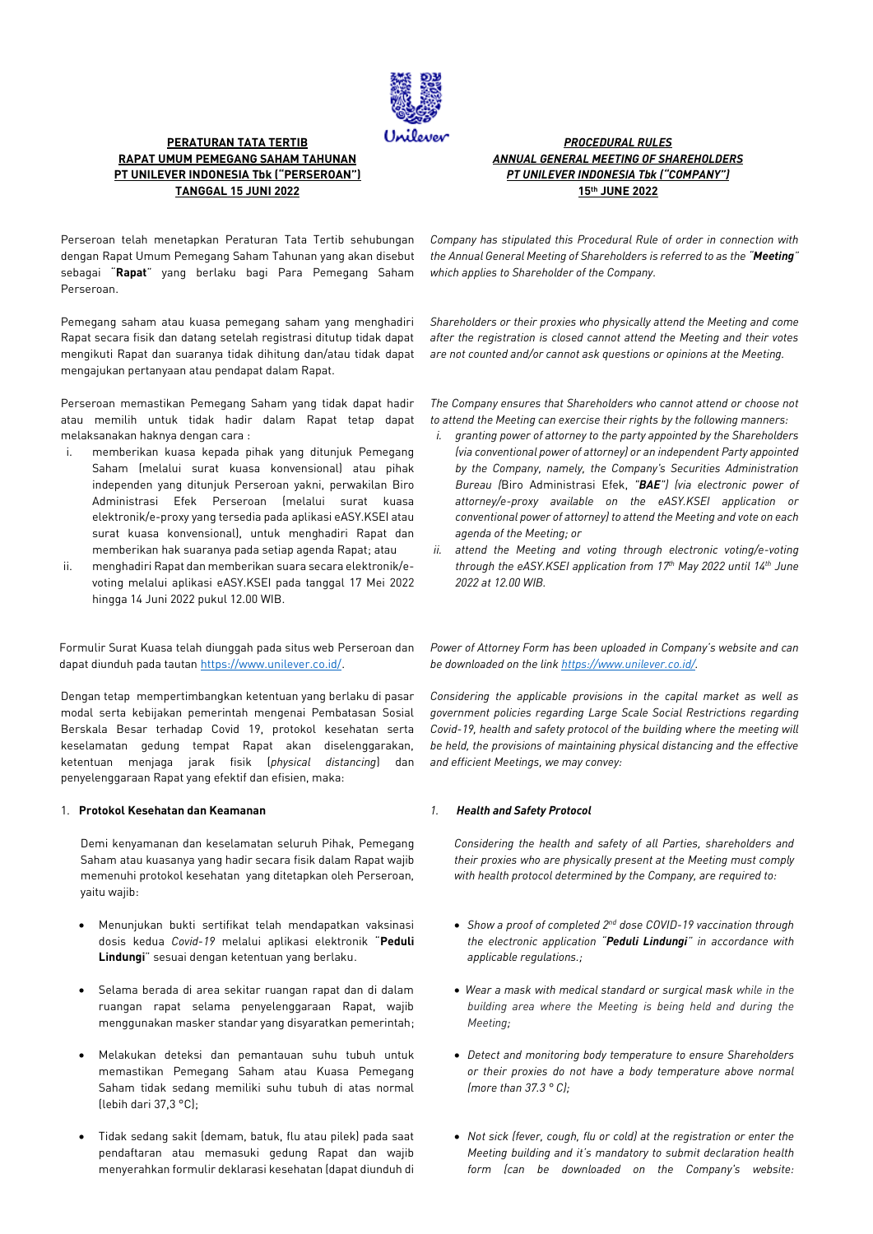

## **PERATURAN TATA TERTIB RAPAT UMUM PEMEGANG SAHAM TAHUNAN PT UNILEVER INDONESIA Tbk ("PERSEROAN") TANGGAL 15 JUNI 2022**

*PROCEDURAL RULES ANNUAL GENERAL MEETING OF SHAREHOLDERS PT UNILEVER INDONESIA Tbk ("COMPANY")* **15 th JUNE 2022**

Perseroan telah menetapkan Peraturan Tata Tertib sehubungan dengan Rapat Umum Pemegang Saham Tahunan yang akan disebut sebagai "**Rapat**" yang berlaku bagi Para Pemegang Saham Perseroan.

Pemegang saham atau kuasa pemegang saham yang menghadiri Rapat secara fisik dan datang setelah registrasi ditutup tidak dapat mengikuti Rapat dan suaranya tidak dihitung dan/atau tidak dapat mengajukan pertanyaan atau pendapat dalam Rapat.

Perseroan memastikan Pemegang Saham yang tidak dapat hadir atau memilih untuk tidak hadir dalam Rapat tetap dapat melaksanakan haknya dengan cara :

- i. memberikan kuasa kepada pihak yang ditunjuk Pemegang Saham (melalui surat kuasa konvensional) atau pihak independen yang ditunjuk Perseroan yakni, perwakilan Biro Administrasi Efek Perseroan (melalui surat kuasa elektronik/e-proxy yang tersedia pada aplikasi eASY.KSEI atau surat kuasa konvensional), untuk menghadiri Rapat dan memberikan hak suaranya pada setiap agenda Rapat; atau
- ii. menghadiri Rapat dan memberikan suara secara elektronik/evoting melalui aplikasi eASY.KSEI pada tanggal 17 Mei 2022 hingga 14 Juni 2022 pukul 12.00 WIB.

Formulir Surat Kuasa telah diunggah pada situs web Perseroan dan dapat diunduh pada tautan [https://www.unilever.co.id/.](https://www.unilever.co.id/)

Dengan tetap mempertimbangkan ketentuan yang berlaku di pasar modal serta kebijakan pemerintah mengenai Pembatasan Sosial Berskala Besar terhadap Covid 19, protokol kesehatan serta keselamatan gedung tempat Rapat akan diselenggarakan, ketentuan menjaga jarak fisik (*physical distancing*) dan penyelenggaraan Rapat yang efektif dan efisien, maka:

### 1. **Protokol Kesehatan dan Keamanan**

Demi kenyamanan dan keselamatan seluruh Pihak, Pemegang Saham atau kuasanya yang hadir secara fisik dalam Rapat wajib memenuhi protokol kesehatan yang ditetapkan oleh Perseroan, yaitu wajib:

- Menunjukan bukti sertifikat telah mendapatkan vaksinasi dosis kedua *Covid*-*19* melalui aplikasi elektronik "**Peduli Lindungi**" sesuai dengan ketentuan yang berlaku.
- Selama berada di area sekitar ruangan rapat dan di dalam ruangan rapat selama penyelenggaraan Rapat, wajib menggunakan masker standar yang disyaratkan pemerintah;
- Melakukan deteksi dan pemantauan suhu tubuh untuk memastikan Pemegang Saham atau Kuasa Pemegang Saham tidak sedang memiliki suhu tubuh di atas normal (lebih dari 37,3 °C);
- Tidak sedang sakit (demam, batuk, flu atau pilek) pada saat pendaftaran atau memasuki gedung Rapat dan wajib menyerahkan formulir deklarasi kesehatan (dapat diunduh di

*Company has stipulated this Procedural Rule of order in connection with the Annual General Meeting of Shareholders is referred to as the "Meeting" which applies to Shareholder of the Company.*

*Shareholders or their proxies who physically attend the Meeting and come after the registration is closed cannot attend the Meeting and their votes are not counted and/or cannot ask questions or opinions at the Meeting.*

*The Company ensures that Shareholders who cannot attend or choose not to attend the Meeting can exercise their rights by the following manners:* 

- *i. granting power of attorney to the party appointed by the Shareholders (via conventional power of attorney) or an independent Party appointed by the Company, namely, the Company's Securities Administration Bureau (*Biro Administrasi Efek, *"BAE") (via electronic power of attorney/e-proxy available on the eASY.KSEI application or conventional power of attorney) to attend the Meeting and vote on each agenda of the Meeting; or*
- *ii. attend the Meeting and voting through electronic voting/e-voting through the eASY.KSEI application from 17 th May 2022 until 14th June 2022 at 12.00 WIB.*

*Power of Attorney Form has been uploaded in Company's website and can be downloaded on the lin[k https://www.unilever.co.id/.](https://www.unilever.co.id/)*

*Considering the applicable provisions in the capital market as well as government policies regarding Large Scale Social Restrictions regarding Covid-19, health and safety protocol of the building where the meeting will be held, the provisions of maintaining physical distancing and the effective and efficient Meetings, we may convey:*

### *1. Health and Safety Protocol*

*Considering the health and safety of all Parties, shareholders and their proxies who are physically present at the Meeting must comply with health protocol determined by the Company, are required to:*

- *Show a proof of completed 2nd dose COVID-19 vaccination through the electronic application "Peduli Lindungi" in accordance with applicable regulations.;*
- *Wear a mask with medical standard or surgical mask while in the building area where the Meeting is being held and during the Meeting;*
- *Detect and monitoring body temperature to ensure Shareholders or their proxies do not have a body temperature above normal (more than 37.3 ° C);*
- *Not sick (fever, cough, flu or cold) at the registration or enter the Meeting building and it's mandatory to submit declaration health form (can be downloaded on the Company's website:*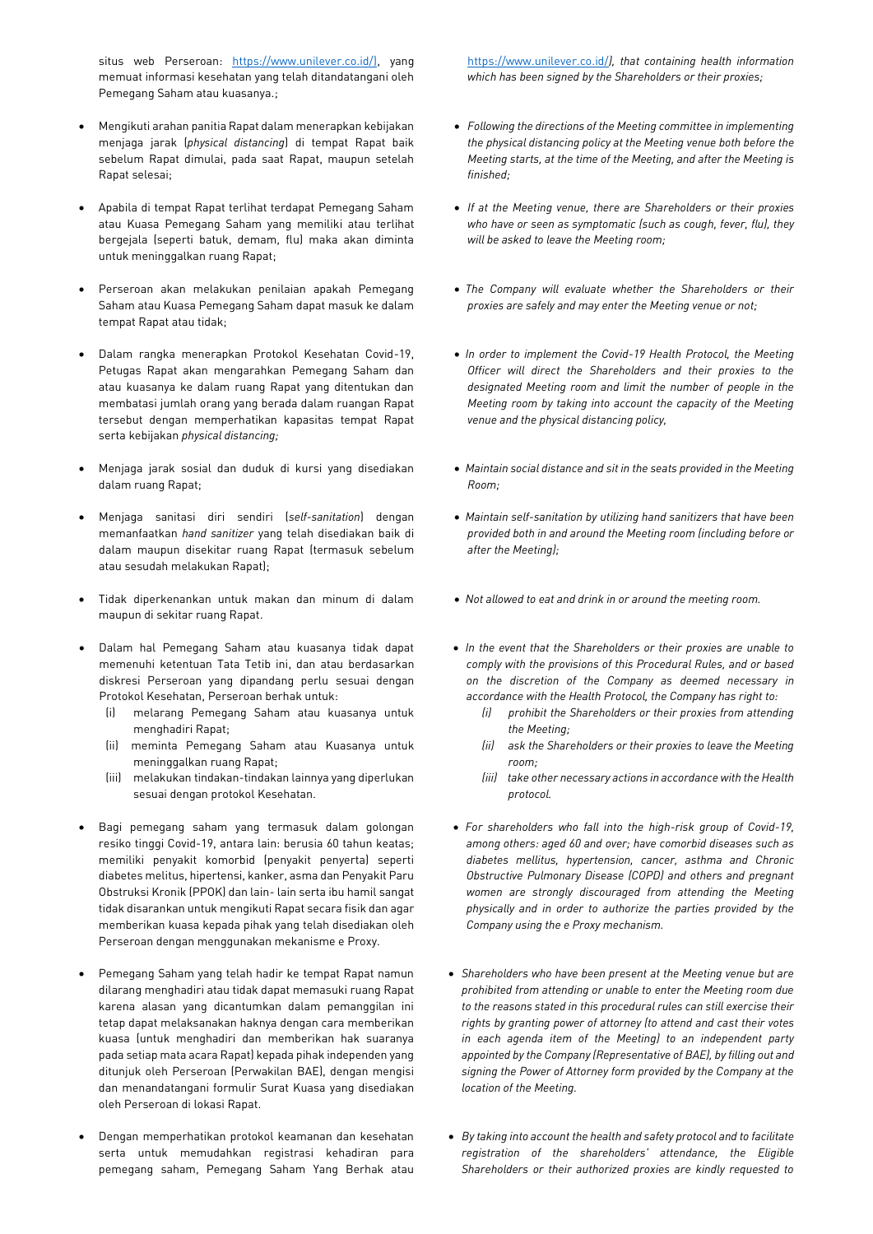situs web Perseroan: [https://www.unilever.co.id/\)](https://www.unilever.co.id/), yang memuat informasi kesehatan yang telah ditandatangani oleh Pemegang Saham atau kuasanya.;

- Mengikuti arahan panitia Rapat dalam menerapkan kebijakan menjaga jarak (*physical distancing*) di tempat Rapat baik sebelum Rapat dimulai, pada saat Rapat, maupun setelah Rapat selesai;
- Apabila di tempat Rapat terlihat terdapat Pemegang Saham atau Kuasa Pemegang Saham yang memiliki atau terlihat bergejala (seperti batuk, demam, flu) maka akan diminta untuk meninggalkan ruang Rapat;
- Perseroan akan melakukan penilaian apakah Pemegang Saham atau Kuasa Pemegang Saham dapat masuk ke dalam tempat Rapat atau tidak;
- Dalam rangka menerapkan Protokol Kesehatan Covid-19, Petugas Rapat akan mengarahkan Pemegang Saham dan atau kuasanya ke dalam ruang Rapat yang ditentukan dan membatasi jumlah orang yang berada dalam ruangan Rapat tersebut dengan memperhatikan kapasitas tempat Rapat serta kebijakan *physical distancing;*
- Menjaga jarak sosial dan duduk di kursi yang disediakan dalam ruang Rapat;
- Menjaga sanitasi diri sendiri (*self-sanitation*) dengan memanfaatkan *hand sanitizer* yang telah disediakan baik di dalam maupun disekitar ruang Rapat (termasuk sebelum atau sesudah melakukan Rapat);
- Tidak diperkenankan untuk makan dan minum di dalam maupun di sekitar ruang Rapat.
- Dalam hal Pemegang Saham atau kuasanya tidak dapat memenuhi ketentuan Tata Tetib ini, dan atau berdasarkan diskresi Perseroan yang dipandang perlu sesuai dengan Protokol Kesehatan, Perseroan berhak untuk:
	- (i) melarang Pemegang Saham atau kuasanya untuk menghadiri Rapat;
	- (ii) meminta Pemegang Saham atau Kuasanya untuk meninggalkan ruang Rapat;
	- (iii) melakukan tindakan-tindakan lainnya yang diperlukan sesuai dengan protokol Kesehatan.
- Bagi pemegang saham yang termasuk dalam golongan resiko tinggi Covid-19, antara lain: berusia 60 tahun keatas; memiliki penyakit komorbid (penyakit penyerta) seperti diabetes melitus, hipertensi, kanker, asma dan Penyakit Paru Obstruksi Kronik (PPOK) dan lain- lain serta ibu hamil sangat tidak disarankan untuk mengikuti Rapat secara fisik dan agar memberikan kuasa kepada pihak yang telah disediakan oleh Perseroan dengan menggunakan mekanisme e Proxy.
- Pemegang Saham yang telah hadir ke tempat Rapat namun dilarang menghadiri atau tidak dapat memasuki ruang Rapat karena alasan yang dicantumkan dalam pemanggilan ini tetap dapat melaksanakan haknya dengan cara memberikan kuasa (untuk menghadiri dan memberikan hak suaranya pada setiap mata acara Rapat) kepada pihak independen yang ditunjuk oleh Perseroan (Perwakilan BAE), dengan mengisi dan menandatangani formulir Surat Kuasa yang disediakan oleh Perseroan di lokasi Rapat.
- Dengan memperhatikan protokol keamanan dan kesehatan serta untuk memudahkan registrasi kehadiran para pemegang saham, Pemegang Saham Yang Berhak atau

<https://www.unilever.co.id/>*), that containing health information which has been signed by the Shareholders or their proxies;*

- *Following the directions of the Meeting committee in implementing the physical distancing policy at the Meeting venue both before the Meeting starts, at the time of the Meeting, and after the Meeting is finished;*
- *If at the Meeting venue, there are Shareholders or their proxies who have or seen as symptomatic (such as cough, fever, flu), they will be asked to leave the Meeting room;*
- *The Company will evaluate whether the Shareholders or their proxies are safely and may enter the Meeting venue or not;*
- *In order to implement the Covid-19 Health Protocol, the Meeting Officer will direct the Shareholders and their proxies to the designated Meeting room and limit the number of people in the Meeting room by taking into account the capacity of the Meeting venue and the physical distancing policy,*
- *Maintain social distance and sit in the seats provided in the Meeting Room;*
- *Maintain self-sanitation by utilizing hand sanitizers that have been provided both in and around the Meeting room (including before or after the Meeting);*
- *Not allowed to eat and drink in or around the meeting room.*
- *In the event that the Shareholders or their proxies are unable to comply with the provisions of this Procedural Rules, and or based on the discretion of the Company as deemed necessary in accordance with the Health Protocol, the Company has right to:*
	- *(i) prohibit the Shareholders or their proxies from attending the Meeting;*
	- *(ii) ask the Shareholders or their proxies to leave the Meeting room;*
	- *(iii) take other necessary actions in accordance with the Health protocol.*
- *For shareholders who fall into the high-risk group of Covid-19, among others: aged 60 and over; have comorbid diseases such as diabetes mellitus, hypertension, cancer, asthma and Chronic Obstructive Pulmonary Disease (COPD) and others and pregnant women are strongly discouraged from attending the Meeting physically and in order to authorize the parties provided by the Company using the e Proxy mechanism.*
- *Shareholders who have been present at the Meeting venue but are prohibited from attending or unable to enter the Meeting room due to the reasons stated in this procedural rules can still exercise their rights by granting power of attorney (to attend and cast their votes in each agenda item of the Meeting) to an independent party appointed by the Company (Representative of BAE), by filling out and signing the Power of Attorney form provided by the Company at the location of the Meeting.*
- *By taking into account the health and safety protocol and to facilitate registration of the shareholders' attendance, the Eligible Shareholders or their authorized proxies are kindly requested to*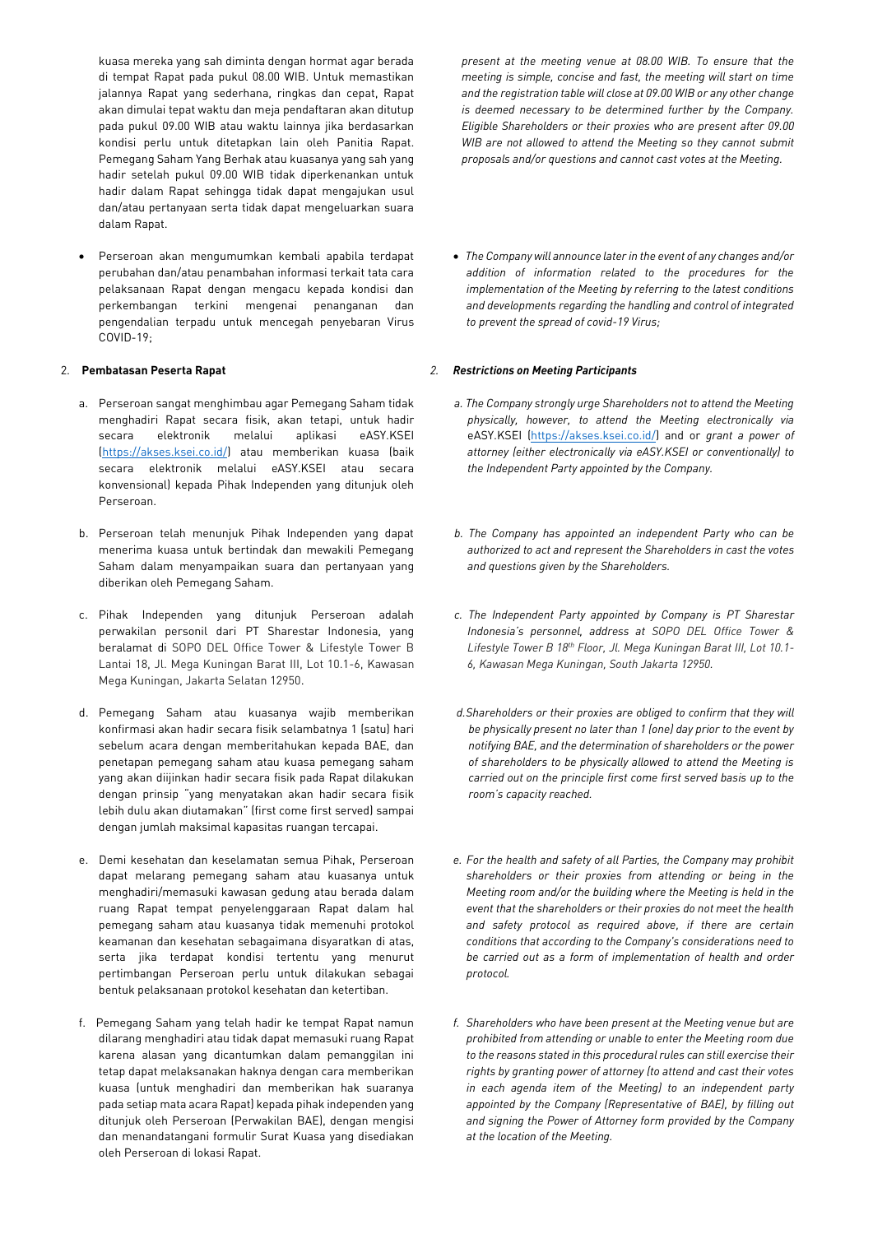kuasa mereka yang sah diminta dengan hormat agar berada di tempat Rapat pada pukul 08.00 WIB. Untuk memastikan jalannya Rapat yang sederhana, ringkas dan cepat, Rapat akan dimulai tepat waktu dan meja pendaftaran akan ditutup pada pukul 09.00 WIB atau waktu lainnya jika berdasarkan kondisi perlu untuk ditetapkan lain oleh Panitia Rapat. Pemegang Saham Yang Berhak atau kuasanya yang sah yang hadir setelah pukul 09.00 WIB tidak diperkenankan untuk hadir dalam Rapat sehingga tidak dapat mengajukan usul dan/atau pertanyaan serta tidak dapat mengeluarkan suara dalam Rapat.

• Perseroan akan mengumumkan kembali apabila terdapat perubahan dan/atau penambahan informasi terkait tata cara pelaksanaan Rapat dengan mengacu kepada kondisi dan perkembangan terkini mengenai penanganan dan pengendalian terpadu untuk mencegah penyebaran Virus COVID-19;

### 2. **Pembatasan Peserta Rapat**

- a. Perseroan sangat menghimbau agar Pemegang Saham tidak menghadiri Rapat secara fisik, akan tetapi, untuk hadir secara elektronik melalui aplikasi eASY.KSEI [\(https://akses.ksei.co.id/\)](https://akses.ksei.co.id/) atau memberikan kuasa (baik secara elektronik melalui eASY.KSEI atau secara konvensional) kepada Pihak Independen yang ditunjuk oleh Perseroan.
- b. Perseroan telah menunjuk Pihak Independen yang dapat menerima kuasa untuk bertindak dan mewakili Pemegang Saham dalam menyampaikan suara dan pertanyaan yang diberikan oleh Pemegang Saham.
- c. Pihak Independen yang ditunjuk Perseroan adalah perwakilan personil dari PT Sharestar Indonesia, yang beralamat di SOPO DEL Office Tower & Lifestyle Tower B Lantai 18, Jl. Mega Kuningan Barat III, Lot 10.1-6, Kawasan Mega Kuningan, Jakarta Selatan 12950.
- d. Pemegang Saham atau kuasanya wajib memberikan konfirmasi akan hadir secara fisik selambatnya 1 (satu) hari sebelum acara dengan memberitahukan kepada BAE, dan penetapan pemegang saham atau kuasa pemegang saham yang akan diijinkan hadir secara fisik pada Rapat dilakukan dengan prinsip "yang menyatakan akan hadir secara fisik lebih dulu akan diutamakan" (first come first served) sampai dengan jumlah maksimal kapasitas ruangan tercapai.
- e. Demi kesehatan dan keselamatan semua Pihak, Perseroan dapat melarang pemegang saham atau kuasanya untuk menghadiri/memasuki kawasan gedung atau berada dalam ruang Rapat tempat penyelenggaraan Rapat dalam hal pemegang saham atau kuasanya tidak memenuhi protokol keamanan dan kesehatan sebagaimana disyaratkan di atas, serta jika terdapat kondisi tertentu yang menurut pertimbangan Perseroan perlu untuk dilakukan sebagai bentuk pelaksanaan protokol kesehatan dan ketertiban.
- f. Pemegang Saham yang telah hadir ke tempat Rapat namun dilarang menghadiri atau tidak dapat memasuki ruang Rapat karena alasan yang dicantumkan dalam pemanggilan ini tetap dapat melaksanakan haknya dengan cara memberikan kuasa (untuk menghadiri dan memberikan hak suaranya pada setiap mata acara Rapat) kepada pihak independen yang ditunjuk oleh Perseroan (Perwakilan BAE), dengan mengisi dan menandatangani formulir Surat Kuasa yang disediakan oleh Perseroan di lokasi Rapat.

*present at the meeting venue at 08.00 WIB. To ensure that the meeting is simple, concise and fast, the meeting will start on time and the registration table will close at 09.00 WIB or any other change is deemed necessary to be determined further by the Company. Eligible Shareholders or their proxies who are present after 09.00 WIB are not allowed to attend the Meeting so they cannot submit proposals and/or questions and cannot cast votes at the Meeting.* 

• *The Company will announce later in the event of any changes and/or addition of information related to the procedures for the implementation of the Meeting by referring to the latest conditions and developments regarding the handling and control of integrated to prevent the spread of covid-19 Virus;*

# *2. Restrictions on Meeting Participants*

- *a. The Company strongly urge Shareholders not to attend the Meeting physically, however, to attend the Meeting electronically via*  eASY.KSEI [\(https://akses.ksei.co.id/\)](https://akses.ksei.co.id/) and or *grant a power of attorney (either electronically via eASY.KSEI or conventionally) to the Independent Party appointed by the Company.*
- *b. The Company has appointed an independent Party who can be authorized to act and represent the Shareholders in cast the votes and questions given by the Shareholders.*
- *c. The Independent Party appointed by Company is PT Sharestar Indonesia's personnel, address at SOPO DEL Office Tower & Lifestyle Tower B 18th Floor, Jl. Mega Kuningan Barat III, Lot 10.1- 6, Kawasan Mega Kuningan, South Jakarta 12950.*
- *d.Shareholders or their proxies are obliged to confirm that they will be physically present no later than 1 (one) day prior to the event by notifying BAE, and the determination of shareholders or the power of shareholders to be physically allowed to attend the Meeting is carried out on the principle first come first served basis up to the room's capacity reached.*
- *e. For the health and safety of all Parties, the Company may prohibit shareholders or their proxies from attending or being in the Meeting room and/or the building where the Meeting is held in the event that the shareholders or their proxies do not meet the health and safety protocol as required above, if there are certain conditions that according to the Company's considerations need to be carried out as a form of implementation of health and order protocol.*
- *f. Shareholders who have been present at the Meeting venue but are prohibited from attending or unable to enter the Meeting room due to the reasons stated in this procedural rules can still exercise their rights by granting power of attorney (to attend and cast their votes in each agenda item of the Meeting) to an independent party appointed by the Company (Representative of BAE), by filling out and signing the Power of Attorney form provided by the Company at the location of the Meeting.*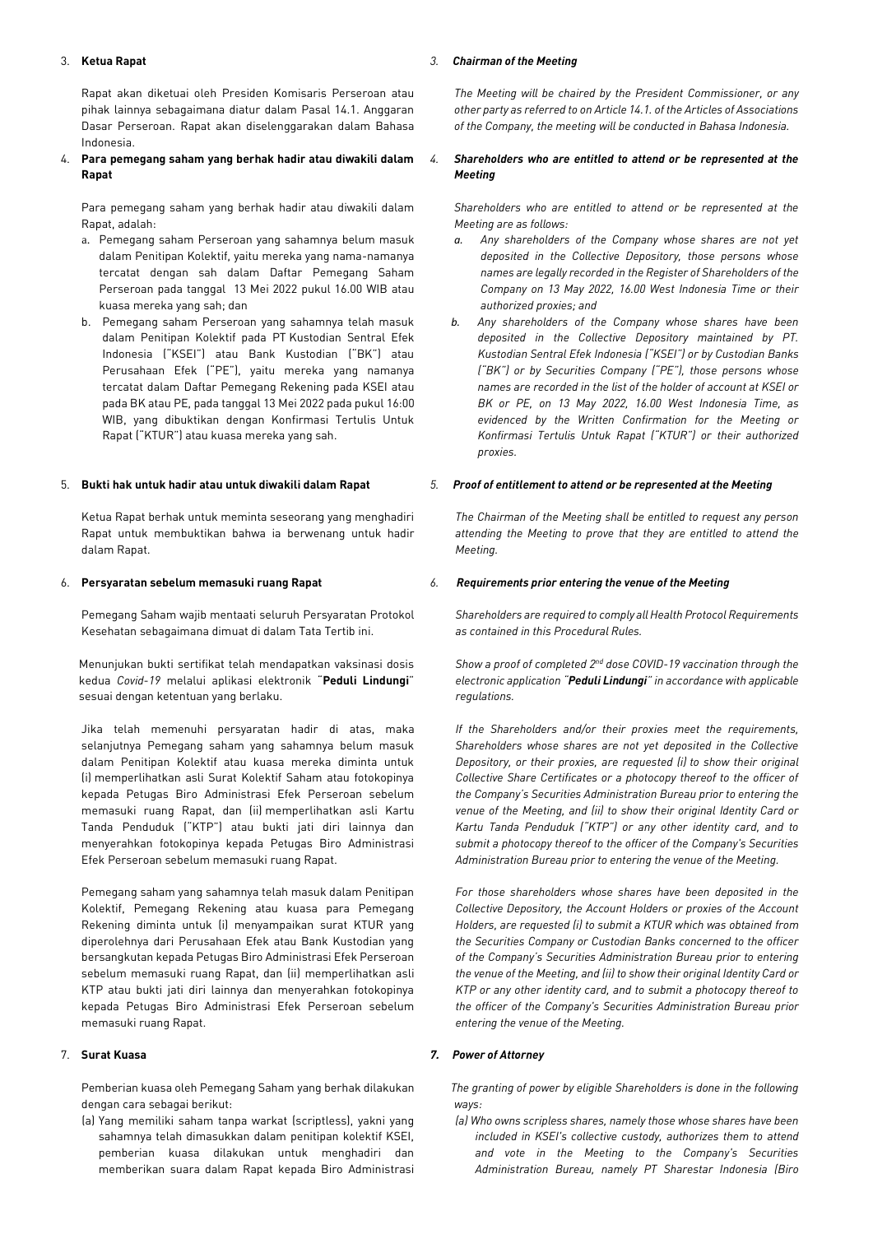### 3. **Ketua Rapat**

Rapat akan diketuai oleh Presiden Komisaris Perseroan atau pihak lainnya sebagaimana diatur dalam Pasal 14.1. Anggaran Dasar Perseroan. Rapat akan diselenggarakan dalam Bahasa Indonesia.

### 4. **Para pemegang saham yang berhak hadir atau diwakili dalam Rapat**

Para pemegang saham yang berhak hadir atau diwakili dalam Rapat, adalah:

- a. Pemegang saham Perseroan yang sahamnya belum masuk dalam Penitipan Kolektif, yaitu mereka yang nama-namanya tercatat dengan sah dalam Daftar Pemegang Saham Perseroan pada tanggal 13 Mei 2022 pukul 16.00 WIB atau kuasa mereka yang sah; dan
- b. Pemegang saham Perseroan yang sahamnya telah masuk dalam Penitipan Kolektif pada PT Kustodian Sentral Efek Indonesia ("KSEI") atau Bank Kustodian ("BK") atau Perusahaan Efek ("PE"), yaitu mereka yang namanya tercatat dalam Daftar Pemegang Rekening pada KSEI atau pada BK atau PE, pada tanggal 13 Mei 2022 pada pukul 16:00 WIB, yang dibuktikan dengan Konfirmasi Tertulis Untuk Rapat ("KTUR") atau kuasa mereka yang sah.

#### 5. **Bukti hak untuk hadir atau untuk diwakili dalam Rapat**

Ketua Rapat berhak untuk meminta seseorang yang menghadiri Rapat untuk membuktikan bahwa ia berwenang untuk hadir dalam Rapat.

#### 6. **Persyaratan sebelum memasuki ruang Rapat**

Pemegang Saham wajib mentaati seluruh Persyaratan Protokol Kesehatan sebagaimana dimuat di dalam Tata Tertib ini.

Menunjukan bukti sertifikat telah mendapatkan vaksinasi dosis kedua *Covid*-*19* melalui aplikasi elektronik "**Peduli Lindungi**" sesuai dengan ketentuan yang berlaku.

Jika telah memenuhi persyaratan hadir di atas, maka selanjutnya Pemegang saham yang sahamnya belum masuk dalam Penitipan Kolektif atau kuasa mereka diminta untuk (i) memperlihatkan asli Surat Kolektif Saham atau fotokopinya kepada Petugas Biro Administrasi Efek Perseroan sebelum memasuki ruang Rapat, dan (ii) memperlihatkan asli Kartu Tanda Penduduk ("KTP") atau bukti jati diri lainnya dan menyerahkan fotokopinya kepada Petugas Biro Administrasi Efek Perseroan sebelum memasuki ruang Rapat.

Pemegang saham yang sahamnya telah masuk dalam Penitipan Kolektif, Pemegang Rekening atau kuasa para Pemegang Rekening diminta untuk (i) menyampaikan surat KTUR yang diperolehnya dari Perusahaan Efek atau Bank Kustodian yang bersangkutan kepada Petugas Biro Administrasi Efek Perseroan sebelum memasuki ruang Rapat, dan (ii) memperlihatkan asli KTP atau bukti jati diri lainnya dan menyerahkan fotokopinya kepada Petugas Biro Administrasi Efek Perseroan sebelum memasuki ruang Rapat.

### 7. **Surat Kuasa**

 Pemberian kuasa oleh Pemegang Saham yang berhak dilakukan dengan cara sebagai berikut:

(a) Yang memiliki saham tanpa warkat (scriptless), yakni yang sahamnya telah dimasukkan dalam penitipan kolektif KSEI, pemberian kuasa dilakukan untuk menghadiri dan memberikan suara dalam Rapat kepada Biro Administrasi

#### *3. Chairman of the Meeting*

*The Meeting will be chaired by the President Commissioner, or any other party as referred to on Article 14.1. of the Articles of Associations of the Company, the meeting will be conducted in Bahasa Indonesia.*

### *4. Shareholders who are entitled to attend or be represented at the Meeting*

*Shareholders who are entitled to attend or be represented at the Meeting are as follows:*

- *a. Any shareholders of the Company whose shares are not yet deposited in the Collective Depository, those persons whose names are legally recorded in the Register of Shareholders of the Company on 13 May 2022, 16.00 West Indonesia Time or their authorized proxies; and*
- *b. Any shareholders of the Company whose shares have been deposited in the Collective Depository maintained by PT. Kustodian Sentral Efek Indonesia ("KSEI") or by Custodian Banks ("BK") or by Securities Company ("PE"), those persons whose names are recorded in the list of the holder of account at KSEI or BK or PE, on 13 May 2022, 16.00 West Indonesia Time, as evidenced by the Written Confirmation for the Meeting or Konfirmasi Tertulis Untuk Rapat ("KTUR") or their authorized proxies.*

#### *5. Proof of entitlement to attend or be represented at the Meeting*

*The Chairman of the Meeting shall be entitled to request any person attending the Meeting to prove that they are entitled to attend the Meeting.*

#### *6. Requirements prior entering the venue of the Meeting*

*Shareholders are required to comply all Health Protocol Requirements as contained in this Procedural Rules.* 

*Show a proof of completed 2nd dose COVID-19 vaccination through the electronic application "Peduli Lindungi" in accordance with applicable regulations.*

*If the Shareholders and/or their proxies meet the requirements, Shareholders whose shares are not yet deposited in the Collective Depository, or their proxies, are requested (i) to show their original Collective Share Certificates or a photocopy thereof to the officer of the Company's Securities Administration Bureau prior to entering the venue of the Meeting, and (ii) to show their original Identity Card or Kartu Tanda Penduduk ("KTP") or any other identity card, and to submit a photocopy thereof to the officer of the Company's Securities Administration Bureau prior to entering the venue of the Meeting.* 

*For those shareholders whose shares have been deposited in the Collective Depository, the Account Holders or proxies of the Account Holders, are requested (i) to submit a KTUR which was obtained from the Securities Company or Custodian Banks concerned to the officer of the Company's Securities Administration Bureau prior to entering the venue of the Meeting, and (ii) to show their original Identity Card or KTP or any other identity card, and to submit a photocopy thereof to the officer of the Company's Securities Administration Bureau prior entering the venue of the Meeting.*

#### *7. Power of Attorney*

 *The granting of power by eligible Shareholders is done in the following ways:* 

*(a) Who owns scripless shares, namely those whose shares have been included in KSEI's collective custody, authorizes them to attend and vote in the Meeting to the Company's Securities Administration Bureau, namely PT Sharestar Indonesia (Biro*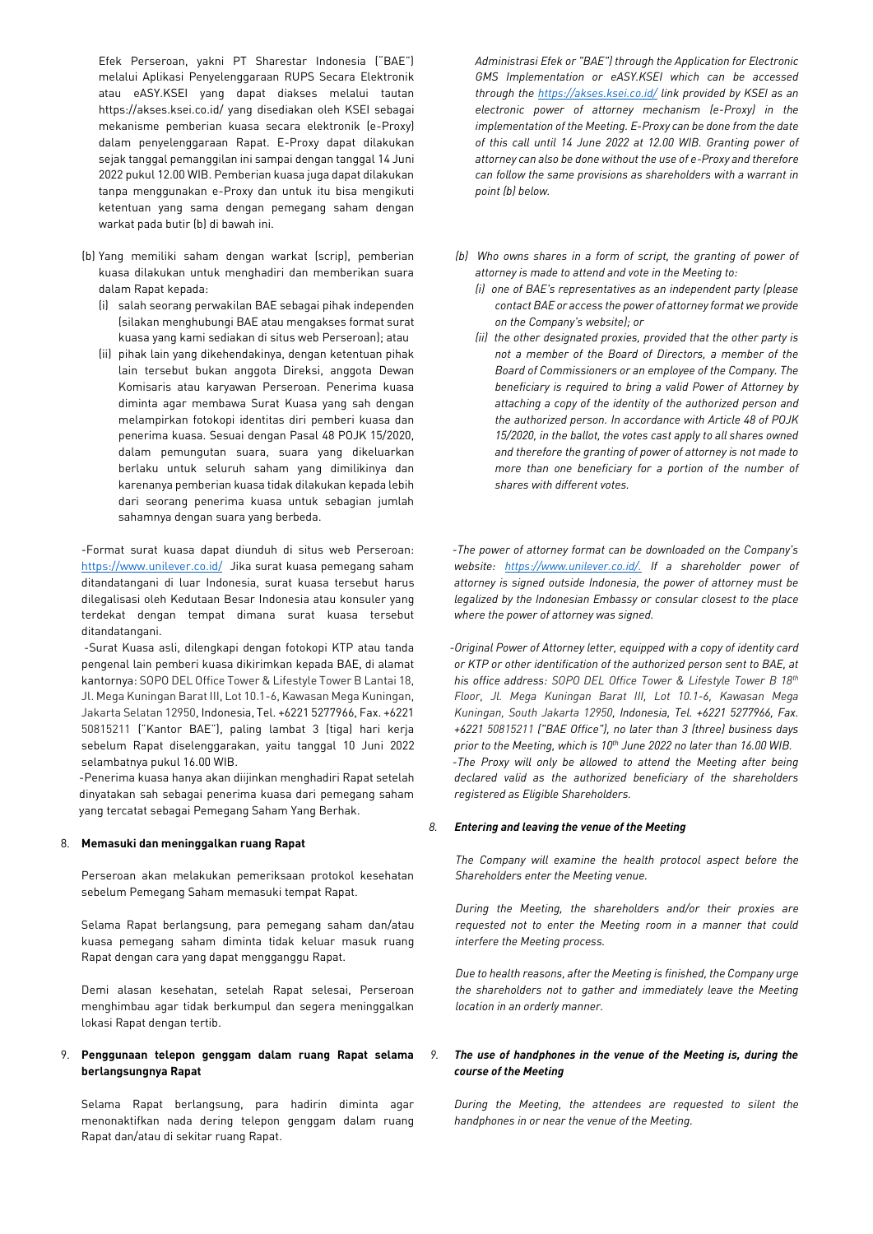Efek Perseroan, yakni PT Sharestar Indonesia ("BAE") melalui Aplikasi Penyelenggaraan RUPS Secara Elektronik atau eASY.KSEI yang dapat diakses melalui tautan https://akses.ksei.co.id/ yang disediakan oleh KSEI sebagai mekanisme pemberian kuasa secara elektronik (e-Proxy) dalam penyelenggaraan Rapat. E-Proxy dapat dilakukan sejak tanggal pemanggilan ini sampai dengan tanggal 14 Juni 2022 pukul 12.00 WIB. Pemberian kuasa juga dapat dilakukan tanpa menggunakan e-Proxy dan untuk itu bisa mengikuti ketentuan yang sama dengan pemegang saham dengan warkat pada butir (b) di bawah ini.

- (b) Yang memiliki saham dengan warkat (scrip), pemberian kuasa dilakukan untuk menghadiri dan memberikan suara dalam Rapat kepada:
	- (i) salah seorang perwakilan BAE sebagai pihak independen (silakan menghubungi BAE atau mengakses format surat kuasa yang kami sediakan di situs web Perseroan); atau
	- (ii) pihak lain yang dikehendakinya, dengan ketentuan pihak lain tersebut bukan anggota Direksi, anggota Dewan Komisaris atau karyawan Perseroan. Penerima kuasa diminta agar membawa Surat Kuasa yang sah dengan melampirkan fotokopi identitas diri pemberi kuasa dan penerima kuasa. Sesuai dengan Pasal 48 POJK 15/2020, dalam pemungutan suara, suara yang dikeluarkan berlaku untuk seluruh saham yang dimilikinya dan karenanya pemberian kuasa tidak dilakukan kepada lebih dari seorang penerima kuasa untuk sebagian jumlah sahamnya dengan suara yang berbeda.

 -Format surat kuasa dapat diunduh di situs web Perseroan: <https://www.unilever.co.id/> Jika surat kuasa pemegang saham ditandatangani di luar Indonesia, surat kuasa tersebut harus dilegalisasi oleh Kedutaan Besar Indonesia atau konsuler yang terdekat dengan tempat dimana surat kuasa tersebut ditandatangani.

 -Surat Kuasa asli, dilengkapi dengan fotokopi KTP atau tanda pengenal lain pemberi kuasa dikirimkan kepada BAE, di alamat kantornya: SOPO DEL Office Tower & Lifestyle Tower B Lantai 18, Jl. Mega Kuningan Barat III, Lot 10.1-6, Kawasan Mega Kuningan, Jakarta Selatan 12950, Indonesia, Tel. +6221 5277966, Fax. +6221 50815211 ("Kantor BAE"), paling lambat 3 (tiga) hari kerja sebelum Rapat diselenggarakan, yaitu tanggal 10 Juni 2022 selambatnya pukul 16.00 WIB.

-Penerima kuasa hanya akan diijinkan menghadiri Rapat setelah dinyatakan sah sebagai penerima kuasa dari pemegang saham yang tercatat sebagai Pemegang Saham Yang Berhak.

### 8. **Memasuki dan meninggalkan ruang Rapat**

Perseroan akan melakukan pemeriksaan protokol kesehatan sebelum Pemegang Saham memasuki tempat Rapat.

Selama Rapat berlangsung, para pemegang saham dan/atau kuasa pemegang saham diminta tidak keluar masuk ruang Rapat dengan cara yang dapat mengganggu Rapat.

Demi alasan kesehatan, setelah Rapat selesai, Perseroan menghimbau agar tidak berkumpul dan segera meninggalkan lokasi Rapat dengan tertib.

### 9. **Penggunaan telepon genggam dalam ruang Rapat selama berlangsungnya Rapat**

Selama Rapat berlangsung, para hadirin diminta agar menonaktifkan nada dering telepon genggam dalam ruang Rapat dan/atau di sekitar ruang Rapat.

*Administrasi Efek or "BAE") through the Application for Electronic GMS Implementation or eASY.KSEI which can be accessed through the<https://akses.ksei.co.id/> link provided by KSEI as an electronic power of attorney mechanism (e-Proxy) in the implementation of the Meeting. E-Proxy can be done from the date of this call until 14 June 2022 at 12.00 WIB. Granting power of attorney can also be done without the use of e-Proxy and therefore can follow the same provisions as shareholders with a warrant in point (b) below.* 

- *(b) Who owns shares in a form of script, the granting of power of attorney is made to attend and vote in the Meeting to:*
	- *(i) one of BAE's representatives as an independent party (please contact BAE or access the power of attorney format we provide on the Company's website); or*
	- *(ii) the other designated proxies, provided that the other party is not a member of the Board of Directors, a member of the Board of Commissioners or an employee of the Company. The beneficiary is required to bring a valid Power of Attorney by attaching a copy of the identity of the authorized person and the authorized person. In accordance with Article 48 of POJK 15/2020, in the ballot, the votes cast apply to all shares owned and therefore the granting of power of attorney is not made to more than one beneficiary for a portion of the number of shares with different votes.*

 *-The power of attorney format can be downloaded on the Company's website: [https://www.unilever.co.id/.](https://www.unilever.co.id/) If a shareholder power of attorney is signed outside Indonesia, the power of attorney must be legalized by the Indonesian Embassy or consular closest to the place where the power of attorney was signed.*

 *-Original Power of Attorney letter, equipped with a copy of identity card or KTP or other identification of the authorized person sent to BAE, at his office address: SOPO DEL Office Tower & Lifestyle Tower B 18th Floor, Jl. Mega Kuningan Barat III, Lot 10.1-6, Kawasan Mega Kuningan, South Jakarta 12950, Indonesia, Tel. +6221 5277966, Fax. +6221 50815211 ("BAE Office"), no later than 3 (three) business days prior to the Meeting, which is 10th June 2022 no later than 16.00 WIB. -The Proxy will only be allowed to attend the Meeting after being declared valid as the authorized beneficiary of the shareholders registered as Eligible Shareholders.*

### *8. Entering and leaving the venue of the Meeting*

*The Company will examine the health protocol aspect before the Shareholders enter the Meeting venue.*

*During the Meeting, the shareholders and/or their proxies are requested not to enter the Meeting room in a manner that could interfere the Meeting process.*

*Due to health reasons, after the Meeting is finished, the Company urge the shareholders not to gather and immediately leave the Meeting location in an orderly manner.*

### *9. The use of handphones in the venue of the Meeting is, during the course of the Meeting*

*During the Meeting, the attendees are requested to silent the handphones in or near the venue of the Meeting.*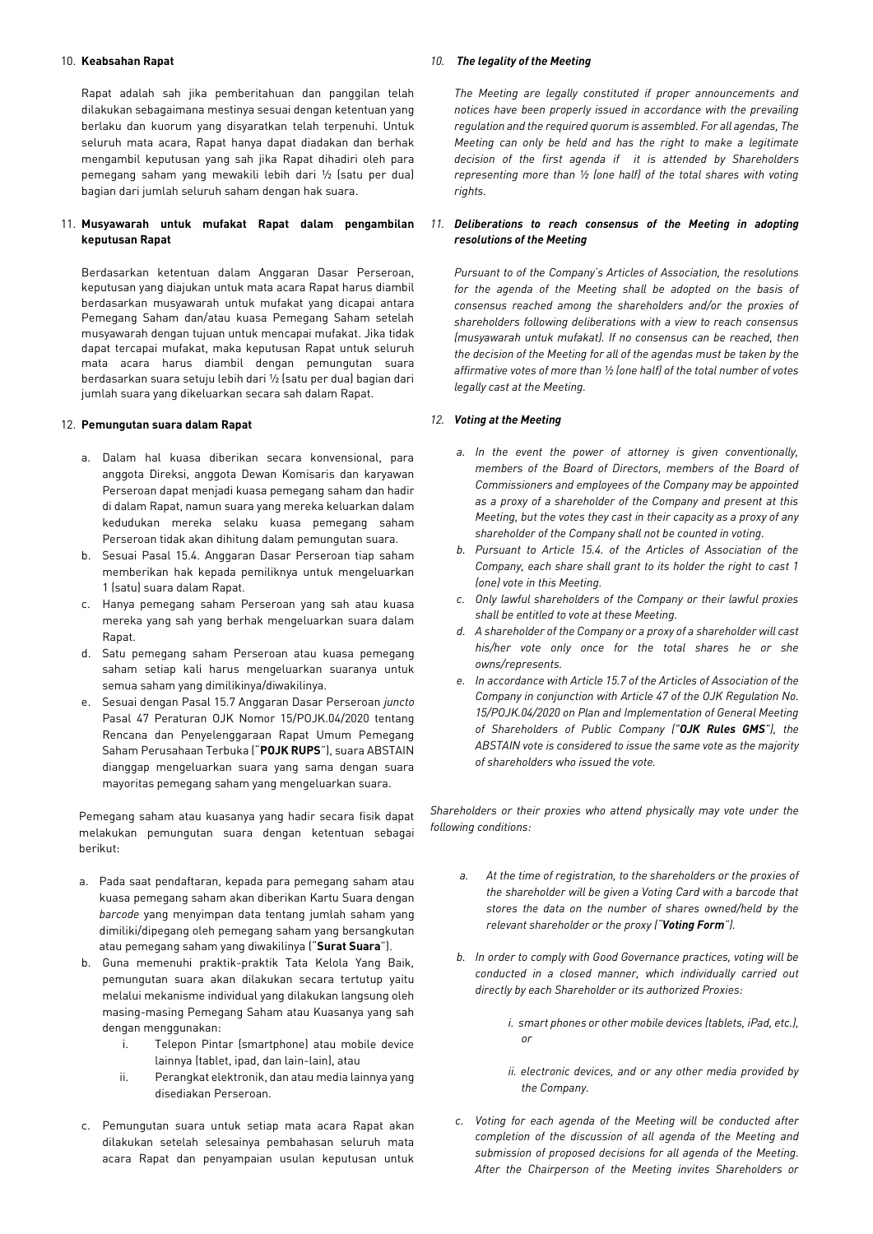#### 10. **Keabsahan Rapat**

Rapat adalah sah jika pemberitahuan dan panggilan telah dilakukan sebagaimana mestinya sesuai dengan ketentuan yang berlaku dan kuorum yang disyaratkan telah terpenuhi. Untuk seluruh mata acara, Rapat hanya dapat diadakan dan berhak mengambil keputusan yang sah jika Rapat dihadiri oleh para pemegang saham yang mewakili lebih dari ½ (satu per dua) bagian dari jumlah seluruh saham dengan hak suara.

#### 11. **Musyawarah untuk mufakat Rapat dalam pengambilan keputusan Rapat**

Berdasarkan ketentuan dalam Anggaran Dasar Perseroan, keputusan yang diajukan untuk mata acara Rapat harus diambil berdasarkan musyawarah untuk mufakat yang dicapai antara Pemegang Saham dan/atau kuasa Pemegang Saham setelah musyawarah dengan tujuan untuk mencapai mufakat. Jika tidak dapat tercapai mufakat, maka keputusan Rapat untuk seluruh mata acara harus diambil dengan pemungutan suara berdasarkan suara setuju lebih dari ½ (satu per dua) bagian dari jumlah suara yang dikeluarkan secara sah dalam Rapat.

#### 12. **Pemungutan suara dalam Rapat**

- a. Dalam hal kuasa diberikan secara konvensional, para anggota Direksi, anggota Dewan Komisaris dan karyawan Perseroan dapat menjadi kuasa pemegang saham dan hadir di dalam Rapat, namun suara yang mereka keluarkan dalam kedudukan mereka selaku kuasa pemegang saham Perseroan tidak akan dihitung dalam pemungutan suara.
- b. Sesuai Pasal 15.4. Anggaran Dasar Perseroan tiap saham memberikan hak kepada pemiliknya untuk mengeluarkan 1 (satu) suara dalam Rapat.
- c. Hanya pemegang saham Perseroan yang sah atau kuasa mereka yang sah yang berhak mengeluarkan suara dalam Rapat
- d. Satu pemegang saham Perseroan atau kuasa pemegang saham setiap kali harus mengeluarkan suaranya untuk semua saham yang dimilikinya/diwakilinya.
- e. Sesuai dengan Pasal 15.7 Anggaran Dasar Perseroan *juncto* Pasal 47 Peraturan OJK Nomor 15/POJK.04/2020 tentang Rencana dan Penyelenggaraan Rapat Umum Pemegang Saham Perusahaan Terbuka ("**POJK RUPS**"), suara ABSTAIN dianggap mengeluarkan suara yang sama dengan suara mayoritas pemegang saham yang mengeluarkan suara.

Pemegang saham atau kuasanya yang hadir secara fisik dapat melakukan pemungutan suara dengan ketentuan sebagai berikut:

- a. Pada saat pendaftaran, kepada para pemegang saham atau kuasa pemegang saham akan diberikan Kartu Suara dengan *barcode* yang menyimpan data tentang jumlah saham yang dimiliki/dipegang oleh pemegang saham yang bersangkutan atau pemegang saham yang diwakilinya ("**Surat Suara**").
- b. Guna memenuhi praktik-praktik Tata Kelola Yang Baik, pemungutan suara akan dilakukan secara tertutup yaitu melalui mekanisme individual yang dilakukan langsung oleh masing-masing Pemegang Saham atau Kuasanya yang sah dengan menggunakan:
	- i. Telepon Pintar (smartphone) atau mobile device lainnya (tablet, ipad, dan lain-lain), atau
	- ii. Perangkat elektronik, dan atau media lainnya yang disediakan Perseroan.
- c. Pemungutan suara untuk setiap mata acara Rapat akan dilakukan setelah selesainya pembahasan seluruh mata acara Rapat dan penyampaian usulan keputusan untuk

#### *10. The legality of the Meeting*

*The Meeting are legally constituted if proper announcements and notices have been properly issued in accordance with the prevailing regulation and the required quorum is assembled. For all agendas, The Meeting can only be held and has the right to make a legitimate decision of the first agenda if it is attended by Shareholders representing more than ½ (one half) of the total shares with voting rights.*

#### *11. Deliberations to reach consensus of the Meeting in adopting resolutions of the Meeting*

*Pursuant to of the Company's Articles of Association, the resolutions for the agenda of the Meeting shall be adopted on the basis of consensus reached among the shareholders and/or the proxies of shareholders following deliberations with a view to reach consensus (musyawarah untuk mufakat). If no consensus can be reached, then the decision of the Meeting for all of the agendas must be taken by the affirmative votes of more than ½ (one half) of the total number of votes legally cast at the Meeting.*

#### *12. Voting at the Meeting*

- *a. In the event the power of attorney is given conventionally, members of the Board of Directors, members of the Board of Commissioners and employees of the Company may be appointed as a proxy of a shareholder of the Company and present at this Meeting, but the votes they cast in their capacity as a proxy of any shareholder of the Company shall not be counted in voting.*
- *b. Pursuant to Article 15.4. of the Articles of Association of the Company, each share shall grant to its holder the right to cast 1 (one) vote in this Meeting.*
- *c. Only lawful shareholders of the Company or their lawful proxies shall be entitled to vote at these Meeting.*
- *d. A shareholder of the Company or a proxy of a shareholder will cast his/her vote only once for the total shares he or she owns/represents.*
- *e. In accordance with Article 15.7 of the Articles of Association of the Company in conjunction with Article 47 of the OJK Regulation No. 15/POJK.04/2020 on Plan and Implementation of General Meeting of Shareholders of Public Company ("OJK Rules GMS"), the ABSTAIN vote is considered to issue the same vote as the majority of shareholders who issued the vote.*

*Shareholders or their proxies who attend physically may vote under the following conditions:*

- *a. At the time of registration, to the shareholders or the proxies of the shareholder will be given a Voting Card with a barcode that stores the data on the number of shares owned/held by the relevant shareholder or the proxy ("Voting Form").*
- *b. In order to comply with Good Governance practices, voting will be conducted in a closed manner, which individually carried out directly by each Shareholder or its authorized Proxies:*
	- *i. smart phones or other mobile devices (tablets, iPad, etc.), or*
	- *ii. electronic devices, and or any other media provided by the Company.*
- *c. Voting for each agenda of the Meeting will be conducted after completion of the discussion of all agenda of the Meeting and submission of proposed decisions for all agenda of the Meeting. After the Chairperson of the Meeting invites Shareholders or*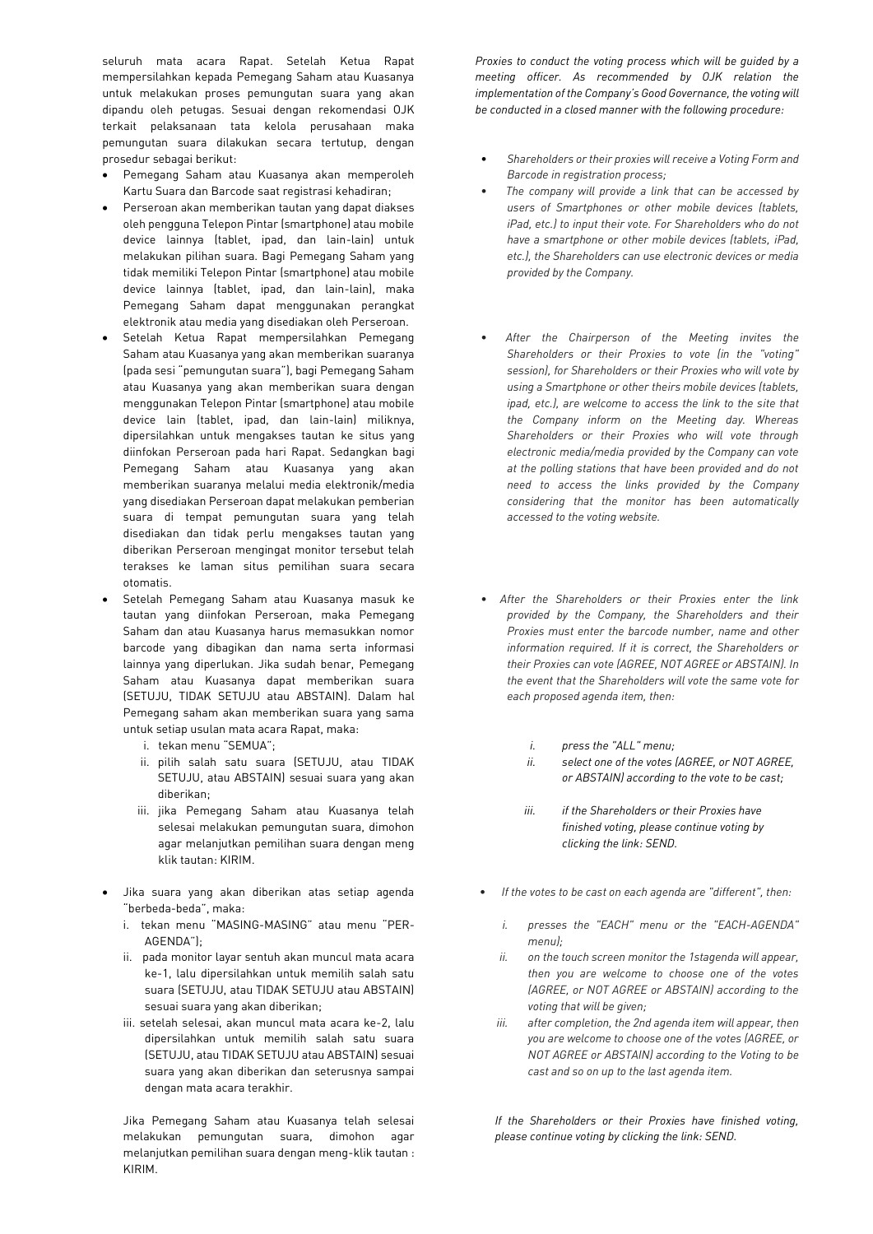seluruh mata acara Rapat. Setelah Ketua Rapat mempersilahkan kepada Pemegang Saham atau Kuasanya untuk melakukan proses pemungutan suara yang akan dipandu oleh petugas. Sesuai dengan rekomendasi OJK terkait pelaksanaan tata kelola perusahaan maka pemungutan suara dilakukan secara tertutup, dengan prosedur sebagai berikut:

- Pemegang Saham atau Kuasanya akan memperoleh Kartu Suara dan Barcode saat registrasi kehadiran;
- Perseroan akan memberikan tautan yang dapat diakses oleh pengguna Telepon Pintar (smartphone) atau mobile device lainnya (tablet, ipad, dan lain-lain) untuk melakukan pilihan suara. Bagi Pemegang Saham yang tidak memiliki Telepon Pintar (smartphone) atau mobile device lainnya (tablet, ipad, dan lain-lain), maka Pemegang Saham dapat menggunakan perangkat elektronik atau media yang disediakan oleh Perseroan.
- Setelah Ketua Rapat mempersilahkan Pemegang Saham atau Kuasanya yang akan memberikan suaranya (pada sesi "pemungutan suara"), bagi Pemegang Saham atau Kuasanya yang akan memberikan suara dengan menggunakan Telepon Pintar (smartphone) atau mobile device lain (tablet, ipad, dan lain-lain) miliknya, dipersilahkan untuk mengakses tautan ke situs yang diinfokan Perseroan pada hari Rapat. Sedangkan bagi Pemegang Saham atau Kuasanya yang akan memberikan suaranya melalui media elektronik/media yang disediakan Perseroan dapat melakukan pemberian suara di tempat pemungutan suara yang telah disediakan dan tidak perlu mengakses tautan yang diberikan Perseroan mengingat monitor tersebut telah terakses ke laman situs pemilihan suara secara otomatis.
- Setelah Pemegang Saham atau Kuasanya masuk ke tautan yang diinfokan Perseroan, maka Pemegang Saham dan atau Kuasanya harus memasukkan nomor barcode yang dibagikan dan nama serta informasi lainnya yang diperlukan. Jika sudah benar, Pemegang Saham atau Kuasanya dapat memberikan suara (SETUJU, TIDAK SETUJU atau ABSTAIN). Dalam hal Pemegang saham akan memberikan suara yang sama untuk setiap usulan mata acara Rapat, maka:
	- i. tekan menu "SEMUA";
	- ii. pilih salah satu suara (SETUJU, atau TIDAK SETUJU, atau ABSTAIN) sesuai suara yang akan diberikan;
	- iii. jika Pemegang Saham atau Kuasanya telah selesai melakukan pemungutan suara, dimohon agar melanjutkan pemilihan suara dengan meng klik tautan: KIRIM.
- Jika suara yang akan diberikan atas setiap agenda "berbeda-beda", maka:
	- i. tekan menu "MASING-MASING" atau menu "PER-AGENDA");
	- ii. pada monitor layar sentuh akan muncul mata acara ke-1, lalu dipersilahkan untuk memilih salah satu suara (SETUJU, atau TIDAK SETUJU atau ABSTAIN) sesuai suara yang akan diberikan;
	- iii. setelah selesai, akan muncul mata acara ke-2, lalu dipersilahkan untuk memilih salah satu suara (SETUJU, atau TIDAK SETUJU atau ABSTAIN) sesuai suara yang akan diberikan dan seterusnya sampai dengan mata acara terakhir.

Jika Pemegang Saham atau Kuasanya telah selesai melakukan pemungutan suara, dimohon agar melanjutkan pemilihan suara dengan meng-klik tautan : KIRIM.

*Proxies to conduct the voting process which will be guided by a meeting officer. As recommended by OJK relation the implementation of the Company's Good Governance, the voting will be conducted in a closed manner with the following procedure:*

- *Shareholders or their proxies will receive a Voting Form and Barcode in registration process;*
- • *The company will provide a link that can be accessed by users of Smartphones or other mobile devices (tablets, iPad, etc.) to input their vote. For Shareholders who do not have a smartphone or other mobile devices (tablets, iPad, etc.), the Shareholders can use electronic devices or media provided by the Company.*
- • *After the Chairperson of the Meeting invites the Shareholders or their Proxies to vote (in the "voting" session), for Shareholders or their Proxies who will vote by using a Smartphone or other theirs mobile devices (tablets, ipad, etc.), are welcome to access the link to the site that the Company inform on the Meeting day. Whereas Shareholders or their Proxies who will vote through electronic media/media provided by the Company can vote at the polling stations that have been provided and do not need to access the links provided by the Company considering that the monitor has been automatically accessed to the voting website.*
- *After the Shareholders or their Proxies enter the link provided by the Company, the Shareholders and their Proxies must enter the barcode number, name and other information required. If it is correct, the Shareholders or their Proxies can vote (AGREE, NOT AGREE or ABSTAIN). In the event that the Shareholders will vote the same vote for each proposed agenda item, then:*
	- *i. press the "ALL" menu;*
	- *ii. select one of the votes (AGREE, or NOT AGREE, or ABSTAIN) according to the vote to be cast;*
	- *iii. if the Shareholders or their Proxies have finished voting, please continue voting by clicking the link: SEND.*
- *If the votes to be cast on each agenda are "different", then:*
	- *i. presses the "EACH" menu or the "EACH-AGENDA" menu);*
	- *ii. on the touch screen monitor the 1stagenda will appear, then you are welcome to choose one of the votes (AGREE, or NOT AGREE or ABSTAIN) according to the voting that will be given;*
	- *iii. after completion, the 2nd agenda item will appear, then you are welcome to choose one of the votes (AGREE, or NOT AGREE or ABSTAIN) according to the Voting to be cast and so on up to the last agenda item.*

*If the Shareholders or their Proxies have finished voting, please continue voting by clicking the link: SEND.*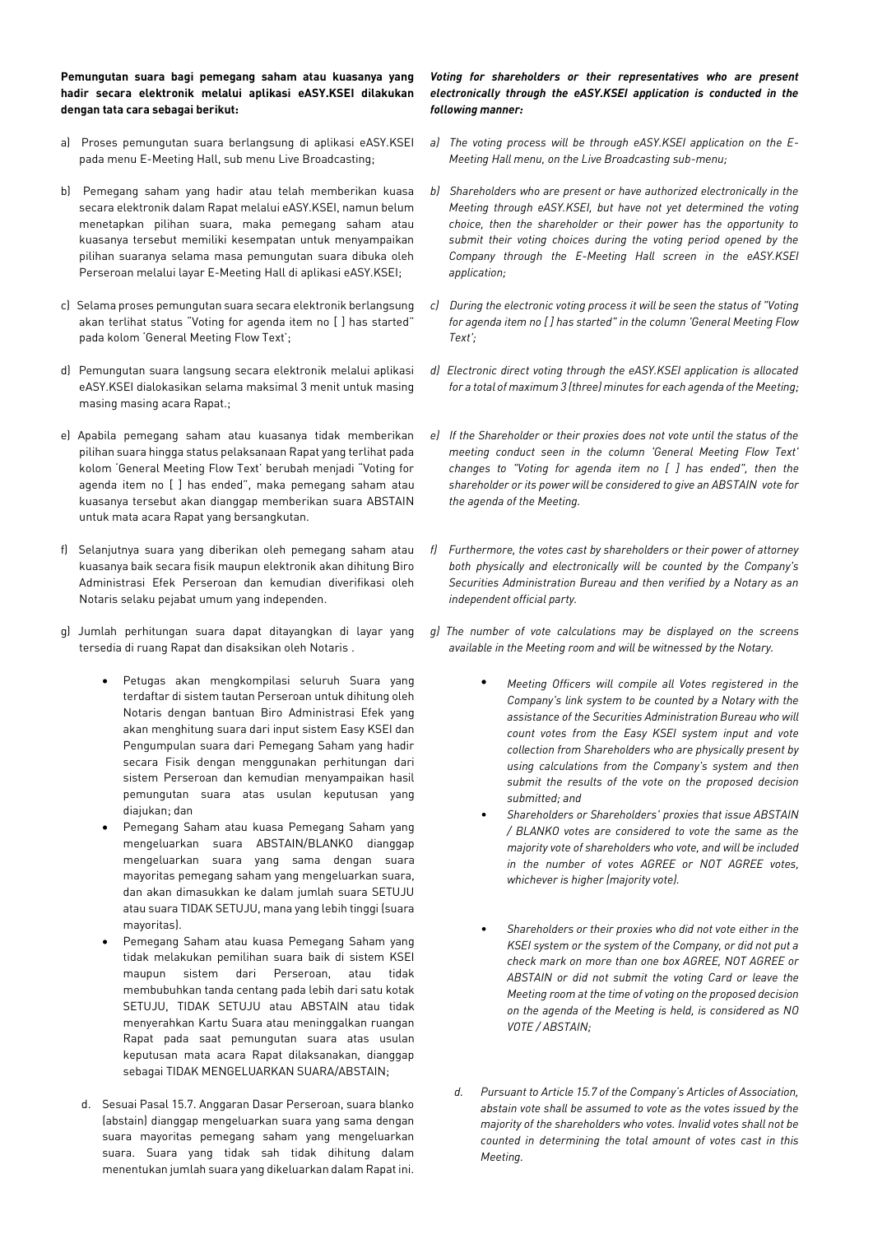**Pemungutan suara bagi pemegang saham atau kuasanya yang hadir secara elektronik melalui aplikasi eASY.KSEI dilakukan dengan tata cara sebagai berikut:**

- a) Proses pemungutan suara berlangsung di aplikasi eASY.KSEI pada menu E-Meeting Hall, sub menu Live Broadcasting;
- b) Pemegang saham yang hadir atau telah memberikan kuasa secara elektronik dalam Rapat melalui eASY.KSEI, namun belum menetapkan pilihan suara, maka pemegang saham atau kuasanya tersebut memiliki kesempatan untuk menyampaikan pilihan suaranya selama masa pemungutan suara dibuka oleh Perseroan melalui layar E-Meeting Hall di aplikasi eASY.KSEI;
- c) Selama proses pemungutan suara secara elektronik berlangsung akan terlihat status "Voting for agenda item no [ ] has started" pada kolom 'General Meeting Flow Text';
- d) Pemungutan suara langsung secara elektronik melalui aplikasi eASY.KSEI dialokasikan selama maksimal 3 menit untuk masing masing masing acara Rapat.;
- e) Apabila pemegang saham atau kuasanya tidak memberikan pilihan suara hingga status pelaksanaan Rapat yang terlihat pada kolom 'General Meeting Flow Text' berubah menjadi "Voting for agenda item no [ ] has ended", maka pemegang saham atau kuasanya tersebut akan dianggap memberikan suara ABSTAIN untuk mata acara Rapat yang bersangkutan.
- f) Selanjutnya suara yang diberikan oleh pemegang saham atau kuasanya baik secara fisik maupun elektronik akan dihitung Biro Administrasi Efek Perseroan dan kemudian diverifikasi oleh Notaris selaku pejabat umum yang independen.
- g) Jumlah perhitungan suara dapat ditayangkan di layar yang tersedia di ruang Rapat dan disaksikan oleh Notaris .
	- Petugas akan mengkompilasi seluruh Suara yang terdaftar di sistem tautan Perseroan untuk dihitung oleh Notaris dengan bantuan Biro Administrasi Efek yang akan menghitung suara dari input sistem Easy KSEI dan Pengumpulan suara dari Pemegang Saham yang hadir secara Fisik dengan menggunakan perhitungan dari sistem Perseroan dan kemudian menyampaikan hasil pemungutan suara atas usulan keputusan yang diajukan; dan
	- Pemegang Saham atau kuasa Pemegang Saham yang mengeluarkan suara ABSTAIN/BLANKO dianggap mengeluarkan suara yang sama dengan suara mayoritas pemegang saham yang mengeluarkan suara, dan akan dimasukkan ke dalam jumlah suara SETUJU atau suara TIDAK SETUJU, mana yang lebih tinggi (suara mayoritas).
	- Pemegang Saham atau kuasa Pemegang Saham yang tidak melakukan pemilihan suara baik di sistem KSEI maupun sistem dari Perseroan, atau tidak membubuhkan tanda centang pada lebih dari satu kotak SETUJU, TIDAK SETUJU atau ABSTAIN atau tidak menyerahkan Kartu Suara atau meninggalkan ruangan Rapat pada saat pemungutan suara atas usulan keputusan mata acara Rapat dilaksanakan, dianggap sebagai TIDAK MENGELUARKAN SUARA/ABSTAIN;
	- d. Sesuai Pasal 15.7. Anggaran Dasar Perseroan, suara blanko (abstain) dianggap mengeluarkan suara yang sama dengan suara mayoritas pemegang saham yang mengeluarkan suara. Suara yang tidak sah tidak dihitung dalam menentukan jumlah suara yang dikeluarkan dalam Rapat ini.

## *Voting for shareholders or their representatives who are present electronically through the eASY.KSEI application is conducted in the following manner:*

- *a) The voting process will be through eASY.KSEI application on the E-Meeting Hall menu, on the Live Broadcasting sub-menu;*
- *b) Shareholders who are present or have authorized electronically in the Meeting through eASY.KSEI, but have not yet determined the voting choice, then the shareholder or their power has the opportunity to submit their voting choices during the voting period opened by the Company through the E-Meeting Hall screen in the eASY.KSEI application;*
- *c) During the electronic voting process it will be seen the status of "Voting for agenda item no [ ] has started" in the column 'General Meeting Flow Text';*
- *d) Electronic direct voting through the eASY.KSEI application is allocated for a total of maximum 3 (three) minutes for each agenda of the Meeting;*
- *e) If the Shareholder or their proxies does not vote until the status of the meeting conduct seen in the column 'General Meeting Flow Text' changes to "Voting for agenda item no [ ] has ended", then the shareholder or its power will be considered to give an ABSTAIN vote for the agenda of the Meeting.*
- *f) Furthermore, the votes cast by shareholders or their power of attorney both physically and electronically will be counted by the Company's Securities Administration Bureau and then verified by a Notary as an independent official party.*
- *g) The number of vote calculations may be displayed on the screens available in the Meeting room and will be witnessed by the Notary.*
	- *Meeting Officers will compile all Votes registered in the Company's link system to be counted by a Notary with the assistance of the Securities Administration Bureau who will count votes from the Easy KSEI system input and vote collection from Shareholders who are physically present by using calculations from the Company's system and then submit the results of the vote on the proposed decision submitted; and*
	- *Shareholders or Shareholders' proxies that issue ABSTAIN / BLANKO votes are considered to vote the same as the majority vote of shareholders who vote, and will be included in the number of votes AGREE or NOT AGREE votes, whichever is higher (majority vote).*
	- *Shareholders or their proxies who did not vote either in the KSEI system or the system of the Company, or did not put a check mark on more than one box AGREE, NOT AGREE or ABSTAIN or did not submit the voting Card or leave the Meeting room at the time of voting on the proposed decision on the agenda of the Meeting is held, is considered as NO VOTE / ABSTAIN;*
	- *d. Pursuant to Article 15.7 of the Company's Articles of Association, abstain vote shall be assumed to vote as the votes issued by the majority of the shareholders who votes. Invalid votes shall not be counted in determining the total amount of votes cast in this Meeting.*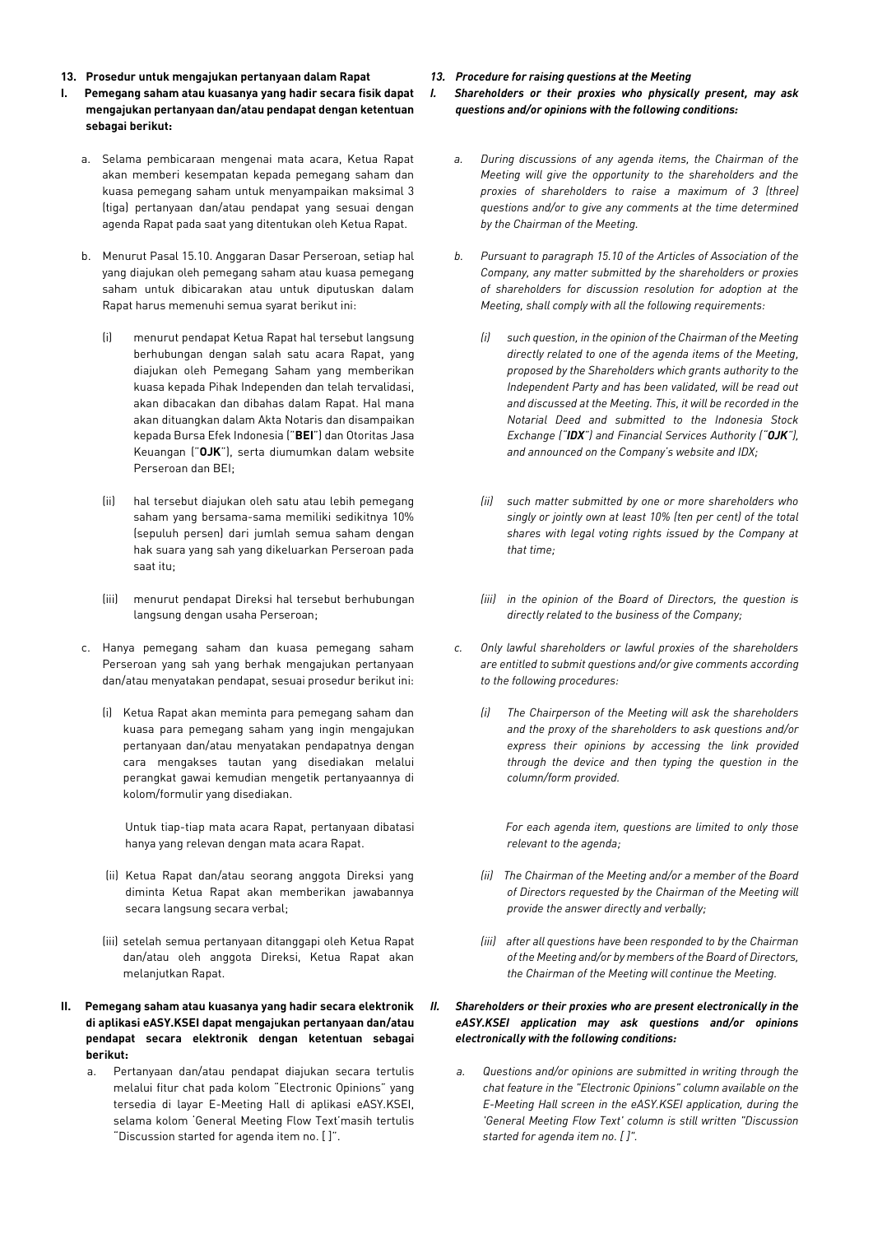- **13. Prosedur untuk mengajukan pertanyaan dalam Rapat**
- **I. Pemegang saham atau kuasanya yang hadir secara fisik dapat mengajukan pertanyaan dan/atau pendapat dengan ketentuan sebagai berikut:**
	- a. Selama pembicaraan mengenai mata acara, Ketua Rapat akan memberi kesempatan kepada pemegang saham dan kuasa pemegang saham untuk menyampaikan maksimal 3 (tiga) pertanyaan dan/atau pendapat yang sesuai dengan agenda Rapat pada saat yang ditentukan oleh Ketua Rapat.
	- b. Menurut Pasal 15.10. Anggaran Dasar Perseroan, setiap hal yang diajukan oleh pemegang saham atau kuasa pemegang saham untuk dibicarakan atau untuk diputuskan dalam Rapat harus memenuhi semua syarat berikut ini:
		- (i) menurut pendapat Ketua Rapat hal tersebut langsung berhubungan dengan salah satu acara Rapat, yang diajukan oleh Pemegang Saham yang memberikan kuasa kepada Pihak Independen dan telah tervalidasi, akan dibacakan dan dibahas dalam Rapat. Hal mana akan dituangkan dalam Akta Notaris dan disampaikan kepada Bursa Efek Indonesia ("**BEI**") dan Otoritas Jasa Keuangan ("**OJK**"), serta diumumkan dalam website Perseroan dan BEI;
		- (ii) hal tersebut diajukan oleh satu atau lebih pemegang saham yang bersama-sama memiliki sedikitnya 10% (sepuluh persen) dari jumlah semua saham dengan hak suara yang sah yang dikeluarkan Perseroan pada saat itu;
		- (iii) menurut pendapat Direksi hal tersebut berhubungan langsung dengan usaha Perseroan;
	- c. Hanya pemegang saham dan kuasa pemegang saham Perseroan yang sah yang berhak mengajukan pertanyaan dan/atau menyatakan pendapat, sesuai prosedur berikut ini:
		- (i) Ketua Rapat akan meminta para pemegang saham dan kuasa para pemegang saham yang ingin mengajukan pertanyaan dan/atau menyatakan pendapatnya dengan cara mengakses tautan yang disediakan melalui perangkat gawai kemudian mengetik pertanyaannya di kolom/formulir yang disediakan.

Untuk tiap-tiap mata acara Rapat, pertanyaan dibatasi hanya yang relevan dengan mata acara Rapat.

- (ii) Ketua Rapat dan/atau seorang anggota Direksi yang diminta Ketua Rapat akan memberikan jawabannya secara langsung secara verbal;
- (iii) setelah semua pertanyaan ditanggapi oleh Ketua Rapat dan/atau oleh anggota Direksi, Ketua Rapat akan melanjutkan Rapat.
- **II. Pemegang saham atau kuasanya yang hadir secara elektronik di aplikasi eASY.KSEI dapat mengajukan pertanyaan dan/atau pendapat secara elektronik dengan ketentuan sebagai berikut:**
	- a. Pertanyaan dan/atau pendapat diajukan secara tertulis melalui fitur chat pada kolom "Electronic Opinions" yang tersedia di layar E-Meeting Hall di aplikasi eASY.KSEI, selama kolom 'General Meeting Flow Text'masih tertulis "Discussion started for agenda item no. [ ]".

*13. Procedure for raising questions at the Meeting I. Shareholders or their proxies who physically present, may ask questions and/or opinions with the following conditions:*

- *a. During discussions of any agenda items, the Chairman of the Meeting will give the opportunity to the shareholders and the proxies of shareholders to raise a maximum of 3 (three) questions and/or to give any comments at the time determined by the Chairman of the Meeting.*
- *b. Pursuant to paragraph 15.10 of the Articles of Association of the Company, any matter submitted by the shareholders or proxies of shareholders for discussion resolution for adoption at the Meeting, shall comply with all the following requirements:*
	- *(i) such question, in the opinion of the Chairman of the Meeting directly related to one of the agenda items of the Meeting, proposed by the Shareholders which grants authority to the Independent Party and has been validated, will be read out and discussed at the Meeting. This, it will be recorded in the Notarial Deed and submitted to the Indonesia Stock Exchange ("IDX") and Financial Services Authority ("OJK"), and announced on the Company's website and IDX;*
	- *(ii) such matter submitted by one or more shareholders who singly or jointly own at least 10% (ten per cent) of the total shares with legal voting rights issued by the Company at that time;*
	- *(iii) in the opinion of the Board of Directors, the question is directly related to the business of the Company;*
- *c. Only lawful shareholders or lawful proxies of the shareholders are entitled to submit questions and/or give comments according to the following procedures:*
	- *(i) The Chairperson of the Meeting will ask the shareholders and the proxy of the shareholders to ask questions and/or express their opinions by accessing the link provided through the device and then typing the question in the column/form provided.*

 *For each agenda item, questions are limited to only those relevant to the agenda;*

- *(ii) The Chairman of the Meeting and/or a member of the Board of Directors requested by the Chairman of the Meeting will provide the answer directly and verbally;*
- *(iii) after all questions have been responded to by the Chairman of the Meeting and/or by members of the Board of Directors, the Chairman of the Meeting will continue the Meeting.*

## *II. Shareholders or their proxies who are present electronically in the eASY.KSEI application may ask questions and/or opinions electronically with the following conditions:*

*a. Questions and/or opinions are submitted in writing through the chat feature in the "Electronic Opinions" column available on the E-Meeting Hall screen in the eASY.KSEI application, during the 'General Meeting Flow Text' column is still written "Discussion started for agenda item no. [ ]".*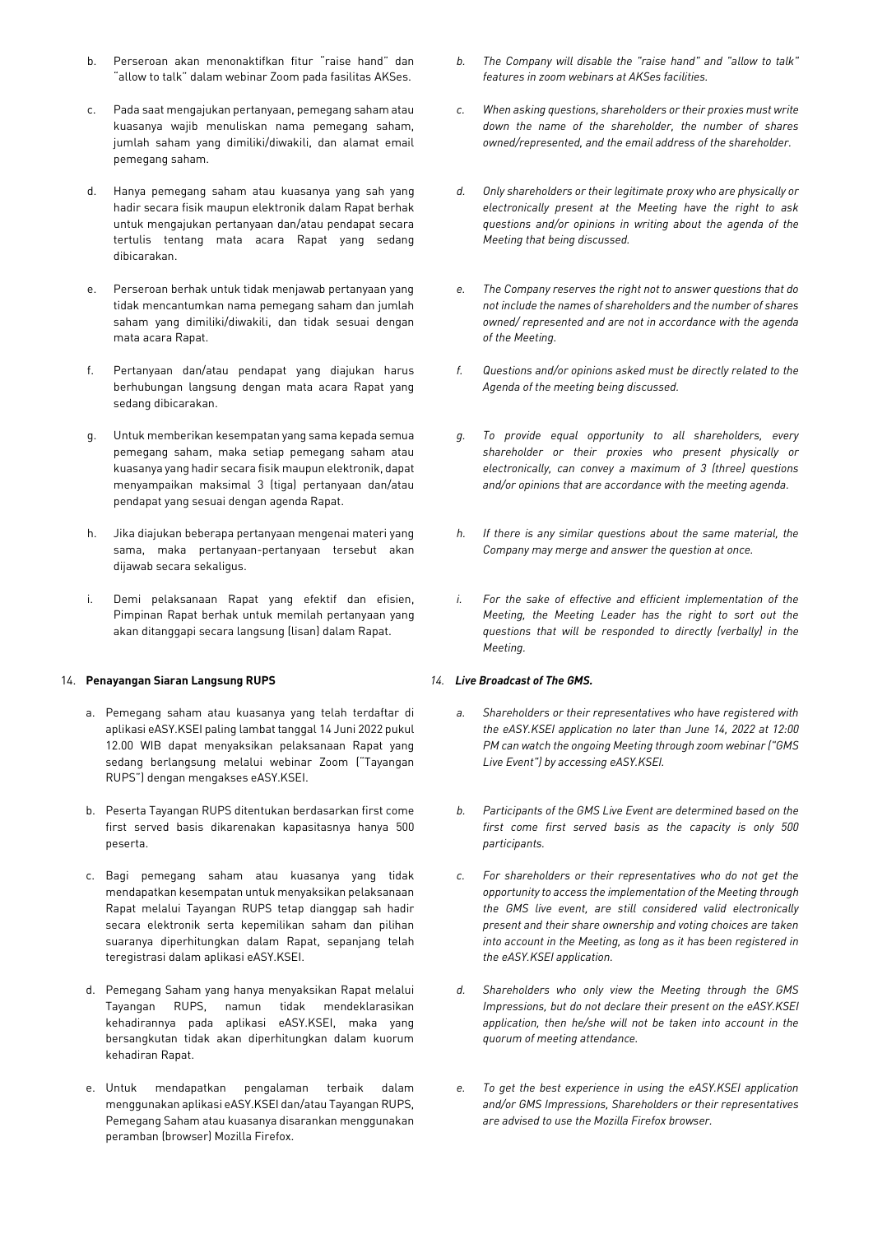- b. Perseroan akan menonaktifkan fitur "raise hand" dan "allow to talk" dalam webinar Zoom pada fasilitas AKSes.
- c. Pada saat mengajukan pertanyaan, pemegang saham atau kuasanya wajib menuliskan nama pemegang saham, jumlah saham yang dimiliki/diwakili, dan alamat email pemegang saham.
- d. Hanya pemegang saham atau kuasanya yang sah yang hadir secara fisik maupun elektronik dalam Rapat berhak untuk mengajukan pertanyaan dan/atau pendapat secara tertulis tentang mata acara Rapat yang sedang dibicarakan.
- e. Perseroan berhak untuk tidak menjawab pertanyaan yang tidak mencantumkan nama pemegang saham dan jumlah saham yang dimiliki/diwakili, dan tidak sesuai dengan mata acara Rapat.
- f. Pertanyaan dan/atau pendapat yang diajukan harus berhubungan langsung dengan mata acara Rapat yang sedang dibicarakan.
- g. Untuk memberikan kesempatan yang sama kepada semua pemegang saham, maka setiap pemegang saham atau kuasanya yang hadir secara fisik maupun elektronik, dapat menyampaikan maksimal 3 (tiga) pertanyaan dan/atau pendapat yang sesuai dengan agenda Rapat.
- h. Jika diajukan beberapa pertanyaan mengenai materi yang sama, maka pertanyaan-pertanyaan tersebut akan dijawab secara sekaligus.
- i. Demi pelaksanaan Rapat yang efektif dan efisien, Pimpinan Rapat berhak untuk memilah pertanyaan yang akan ditanggapi secara langsung (lisan) dalam Rapat.

## 14. **Penayangan Siaran Langsung RUPS**

- a. Pemegang saham atau kuasanya yang telah terdaftar di aplikasi eASY.KSEI paling lambat tanggal 14 Juni 2022 pukul 12.00 WIB dapat menyaksikan pelaksanaan Rapat yang sedang berlangsung melalui webinar Zoom ("Tayangan RUPS") dengan mengakses eASY.KSEI.
- b. Peserta Tayangan RUPS ditentukan berdasarkan first come first served basis dikarenakan kapasitasnya hanya 500 peserta.
- c. Bagi pemegang saham atau kuasanya yang tidak mendapatkan kesempatan untuk menyaksikan pelaksanaan Rapat melalui Tayangan RUPS tetap dianggap sah hadir secara elektronik serta kepemilikan saham dan pilihan suaranya diperhitungkan dalam Rapat, sepanjang telah teregistrasi dalam aplikasi eASY.KSEI.
- d. Pemegang Saham yang hanya menyaksikan Rapat melalui Tayangan RUPS, namun tidak mendeklarasikan kehadirannya pada aplikasi eASY.KSEI, maka yang bersangkutan tidak akan diperhitungkan dalam kuorum kehadiran Rapat.
- e. Untuk mendapatkan pengalaman terbaik dalam menggunakan aplikasi eASY.KSEI dan/atau Tayangan RUPS, Pemegang Saham atau kuasanya disarankan menggunakan peramban (browser) Mozilla Firefox.
- *b. The Company will disable the "raise hand" and "allow to talk" features in zoom webinars at AKSes facilities.*
- *c. When asking questions, shareholders or their proxies must write down the name of the shareholder, the number of shares owned/represented, and the email address of the shareholder.*
- *d. Only shareholders or their legitimate proxy who are physically or electronically present at the Meeting have the right to ask questions and/or opinions in writing about the agenda of the Meeting that being discussed.*
- *e. The Company reserves the right not to answer questions that do not include the names of shareholders and the number of shares owned/ represented and are not in accordance with the agenda of the Meeting.*
- *f. Questions and/or opinions asked must be directly related to the Agenda of the meeting being discussed.*
- *g. To provide equal opportunity to all shareholders, every shareholder or their proxies who present physically or electronically, can convey a maximum of 3 (three) questions and/or opinions that are accordance with the meeting agenda.*
- *h. If there is any similar questions about the same material, the Company may merge and answer the question at once.*
- *i. For the sake of effective and efficient implementation of the Meeting, the Meeting Leader has the right to sort out the questions that will be responded to directly (verbally) in the Meeting.*

# *14. Live Broadcast of The GMS.*

- *a. Shareholders or their representatives who have registered with the eASY.KSEI application no later than June 14, 2022 at 12:00 PM can watch the ongoing Meeting through zoom webinar ("GMS Live Event") by accessing eASY.KSEI.*
- *b. Participants of the GMS Live Event are determined based on the first come first served basis as the capacity is only 500 participants.*
- *c. For shareholders or their representatives who do not get the opportunity to access the implementation of the Meeting through the GMS live event, are still considered valid electronically present and their share ownership and voting choices are taken into account in the Meeting, as long as it has been registered in the eASY.KSEI application.*
- *d. Shareholders who only view the Meeting through the GMS Impressions, but do not declare their present on the eASY.KSEI application, then he/she will not be taken into account in the quorum of meeting attendance.*
- *e. To get the best experience in using the eASY.KSEI application and/or GMS Impressions, Shareholders or their representatives are advised to use the Mozilla Firefox browser.*